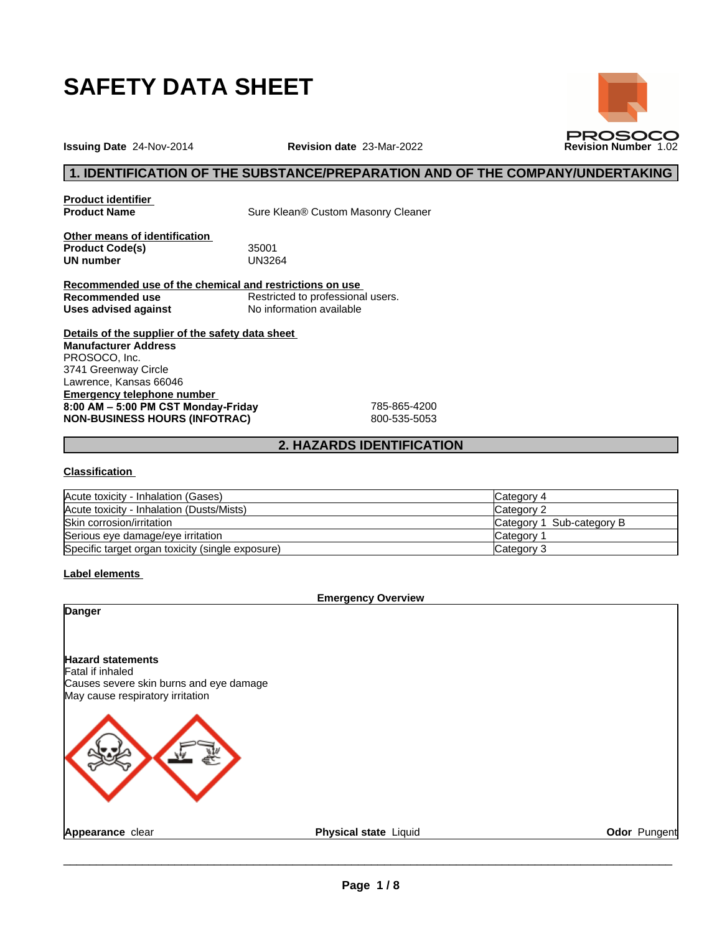

**PROSOCO** 

**Issuing Date** 24-Nov-2014 **Revision date** 23-Mar-2022 **Revision Number** 1.02

## **1. IDENTIFICATION OF THE SUBSTANCE/PREPARATION AND OF THE COMPANY/UNDERTAKING**

**Product identifier**

**Product Name** Sure Klean® Custom Masonry Cleaner

**Other means of identification Product Code(s)** 35001<br> **UN number** UN3264 **UN number** 

**Recommended use of the chemical and restrictions on use Recommended use**<br> **Uses advised against**<br> **No information available Uses** advised against

**Details of the supplier of the safety data sheet Emergency telephone number 8:00AM–5:00PMCSTMonday-Friday** 785-865-4200 **NON-BUSINESS HOURS (INFOTRAC)** 800-535-5053 **Manufacturer Address** PROSOCO, Inc. 3741 Greenway Circle Lawrence, Kansas 66046

## **2. HAZARDS IDENTIFICATION**

#### **Classification**

| Acute toxicity - Inhalation (Gases)              | Category 4                |
|--------------------------------------------------|---------------------------|
| Acute toxicity - Inhalation (Dusts/Mists)        | Category 2                |
| Skin corrosion/irritation                        | Category 1 Sub-category B |
| Serious eye damage/eye irritation                | Category                  |
| Specific target organ toxicity (single exposure) | Category 3                |

## **Label elements**

| Physical state Liquid<br>Odor Pungent |
|---------------------------------------|
|                                       |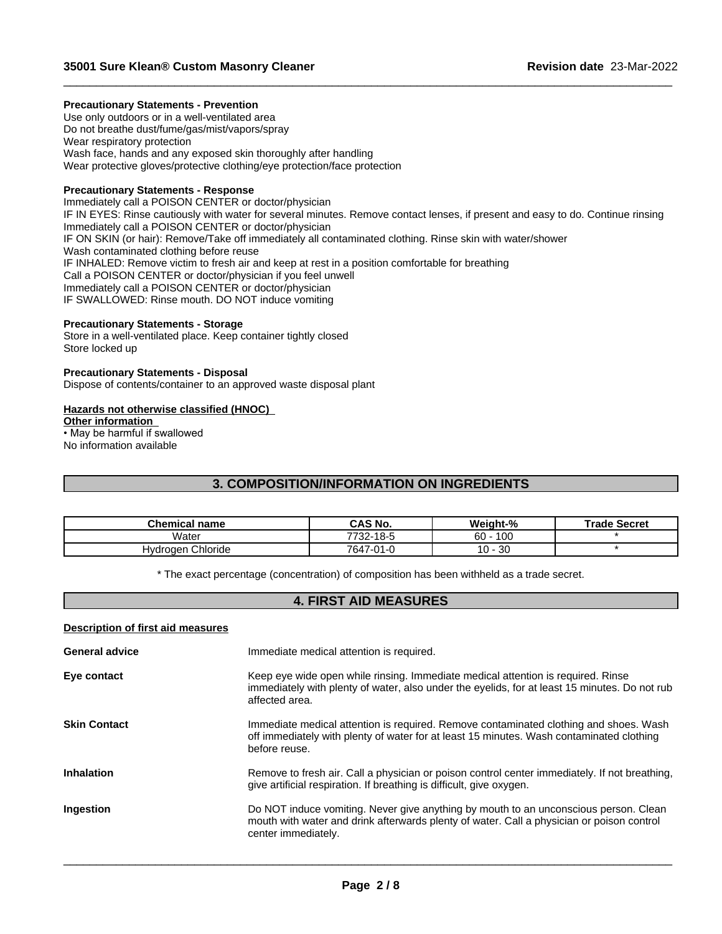## **Precautionary Statements - Prevention**

Use only outdoors or in a well-ventilated area Do not breathe dust/fume/gas/mist/vapors/spray Wear respiratory protection Wash face, hands and any exposed skin thoroughly after handling Wear protective gloves/protective clothing/eye protection/face protection

## **Precautionary Statements - Response**

Immediately call a POISON CENTER or doctor/physician IF IN EYES: Rinse cautiously with water for several minutes. Remove contact lenses, if present and easy to do. Continue rinsing Immediately call a POISON CENTER or doctor/physician IF ON SKIN (or hair): Remove/Take off immediately all contaminated clothing. Rinse skin with water/shower Wash contaminated clothing before reuse IF INHALED: Remove victim to fresh air and keep at rest in a position comfortable for breathing Call a POISON CENTER or doctor/physician if you feel unwell Immediately call a POISON CENTER or doctor/physician IF SWALLOWED: Rinse mouth. DO NOT induce vomiting

 $\_$  ,  $\_$  ,  $\_$  ,  $\_$  ,  $\_$  ,  $\_$  ,  $\_$  ,  $\_$  ,  $\_$  ,  $\_$  ,  $\_$  ,  $\_$  ,  $\_$  ,  $\_$  ,  $\_$  ,  $\_$  ,  $\_$  ,  $\_$  ,  $\_$  ,  $\_$  ,  $\_$  ,  $\_$  ,  $\_$  ,  $\_$  ,  $\_$  ,  $\_$  ,  $\_$  ,  $\_$  ,  $\_$  ,  $\_$  ,  $\_$  ,  $\_$  ,  $\_$  ,  $\_$  ,  $\_$  ,  $\_$  ,  $\_$  ,

#### **Precautionary Statements - Storage**

Store in a well-ventilated place. Keep container tightly closed Store locked up

## **Precautionary Statements - Disposal**

Dispose of contents/container to an approved waste disposal plant

## **Hazards not otherwise classified (HNOC)**

**Other information** • May be harmful if swallowed

No information available

## **3. COMPOSITION/INFORMATION ON INGREDIENTS**

| <b>Chemical name</b>   | CAS No.   | Weight-%           | <b>Trade Secret</b> |
|------------------------|-----------|--------------------|---------------------|
| Water                  | 7732-18-5 | 100<br>60          |                     |
| , Chloride<br>Hydrogen | 7647-01-0 | 30<br>1 N<br>1 U - |                     |

\* The exact percentage (concentration) of composition has been withheld as a trade secret.

## **4. FIRST AID MEASURES**

#### **Description of first aid measures**

| <b>General advice</b> | Immediate medical attention is required.                                                                                                                                                                 |
|-----------------------|----------------------------------------------------------------------------------------------------------------------------------------------------------------------------------------------------------|
| Eye contact           | Keep eye wide open while rinsing. Immediate medical attention is required. Rinse<br>immediately with plenty of water, also under the eyelids, for at least 15 minutes. Do not rub<br>affected area.      |
| <b>Skin Contact</b>   | Immediate medical attention is required. Remove contaminated clothing and shoes. Wash<br>off immediately with plenty of water for at least 15 minutes. Wash contaminated clothing<br>before reuse.       |
| <b>Inhalation</b>     | Remove to fresh air. Call a physician or poison control center immediately. If not breathing,<br>give artificial respiration. If breathing is difficult, give oxygen.                                    |
| Ingestion             | Do NOT induce vomiting. Never give anything by mouth to an unconscious person. Clean<br>mouth with water and drink afterwards plenty of water. Call a physician or poison control<br>center immediately. |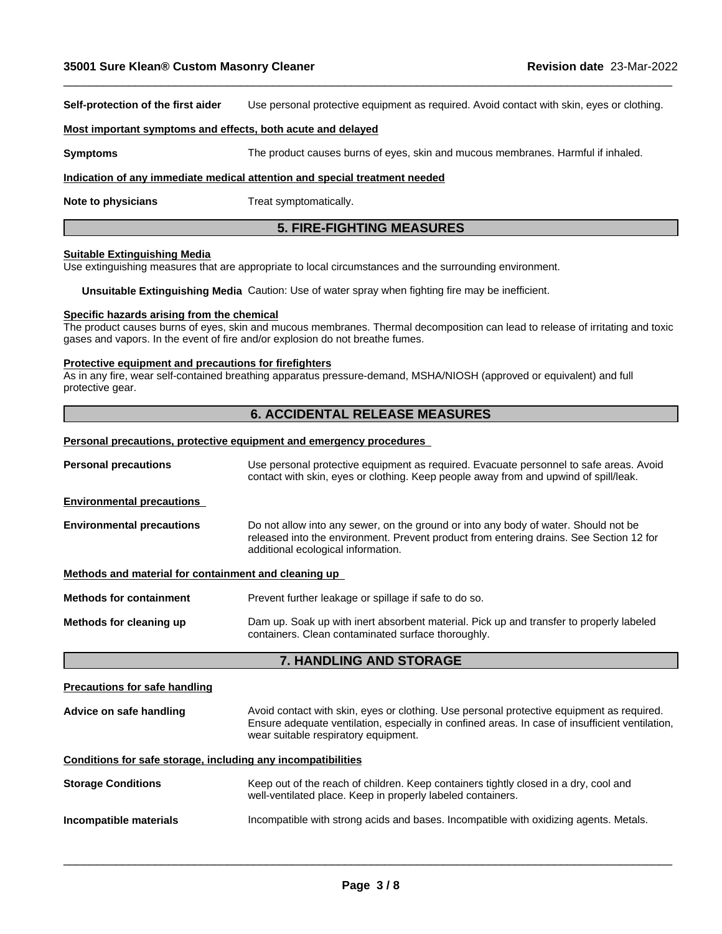**Self-protection of the first aider** Use personal protective equipment as required.Avoid contact with skin, eyes or clothing.

 $\_$  ,  $\_$  ,  $\_$  ,  $\_$  ,  $\_$  ,  $\_$  ,  $\_$  ,  $\_$  ,  $\_$  ,  $\_$  ,  $\_$  ,  $\_$  ,  $\_$  ,  $\_$  ,  $\_$  ,  $\_$  ,  $\_$  ,  $\_$  ,  $\_$  ,  $\_$  ,  $\_$  ,  $\_$  ,  $\_$  ,  $\_$  ,  $\_$  ,  $\_$  ,  $\_$  ,  $\_$  ,  $\_$  ,  $\_$  ,  $\_$  ,  $\_$  ,  $\_$  ,  $\_$  ,  $\_$  ,  $\_$  ,  $\_$  ,

#### **Most important symptoms and effects, both acute and delayed**

**Symptoms** The product causes burns of eyes, skin and mucous membranes. Harmful if inhaled.

#### **Indication of any immediate medical attention and special treatment needed**

**Note to physicians** Treat symptomatically.

## **5. FIRE-FIGHTING MEASURES**

#### **Suitable Extinguishing Media**

Use extinguishing measures that are appropriate to local circumstances and the surrounding environment.

**Unsuitable Extinguishing Media** Caution: Use of water spray when fighting fire may be inefficient.

#### **Specific hazards arising from the chemical**

The product causes burns of eyes, skin and mucous membranes. Thermal decomposition can lead to release of irritating and toxic gases and vapors. In the event of fire and/or explosion do not breathe fumes.

#### **Protective equipment and precautions for firefighters**

As in any fire, wear self-contained breathing apparatus pressure-demand, MSHA/NIOSH (approved or equivalent) and full protective gear.

## **6. ACCIDENTAL RELEASE MEASURES**

## **Personal precautions, protective equipment and emergency procedures**

| <b>Personal precautions</b>                                  | Use personal protective equipment as required. Evacuate personnel to safe areas. Avoid<br>contact with skin, eyes or clothing. Keep people away from and upwind of spill/leak.                                                       |  |  |  |
|--------------------------------------------------------------|--------------------------------------------------------------------------------------------------------------------------------------------------------------------------------------------------------------------------------------|--|--|--|
| <b>Environmental precautions</b>                             |                                                                                                                                                                                                                                      |  |  |  |
| <b>Environmental precautions</b>                             | Do not allow into any sewer, on the ground or into any body of water. Should not be<br>released into the environment. Prevent product from entering drains. See Section 12 for<br>additional ecological information.                 |  |  |  |
| Methods and material for containment and cleaning up         |                                                                                                                                                                                                                                      |  |  |  |
| <b>Methods for containment</b>                               | Prevent further leakage or spillage if safe to do so.                                                                                                                                                                                |  |  |  |
| Methods for cleaning up                                      | Dam up. Soak up with inert absorbent material. Pick up and transfer to properly labeled<br>containers. Clean contaminated surface thoroughly.                                                                                        |  |  |  |
|                                                              | 7. HANDLING AND STORAGE                                                                                                                                                                                                              |  |  |  |
| <b>Precautions for safe handling</b>                         |                                                                                                                                                                                                                                      |  |  |  |
| Advice on safe handling                                      | Avoid contact with skin, eyes or clothing. Use personal protective equipment as required.<br>Ensure adequate ventilation, especially in confined areas. In case of insufficient ventilation,<br>wear suitable respiratory equipment. |  |  |  |
| Conditions for safe storage, including any incompatibilities |                                                                                                                                                                                                                                      |  |  |  |
| <b>Storage Conditions</b>                                    | Keep out of the reach of children. Keep containers tightly closed in a dry, cool and<br>well-ventilated place. Keep in properly labeled containers.                                                                                  |  |  |  |
| Incompatible materials                                       | Incompatible with strong acids and bases. Incompatible with oxidizing agents. Metals.                                                                                                                                                |  |  |  |
|                                                              |                                                                                                                                                                                                                                      |  |  |  |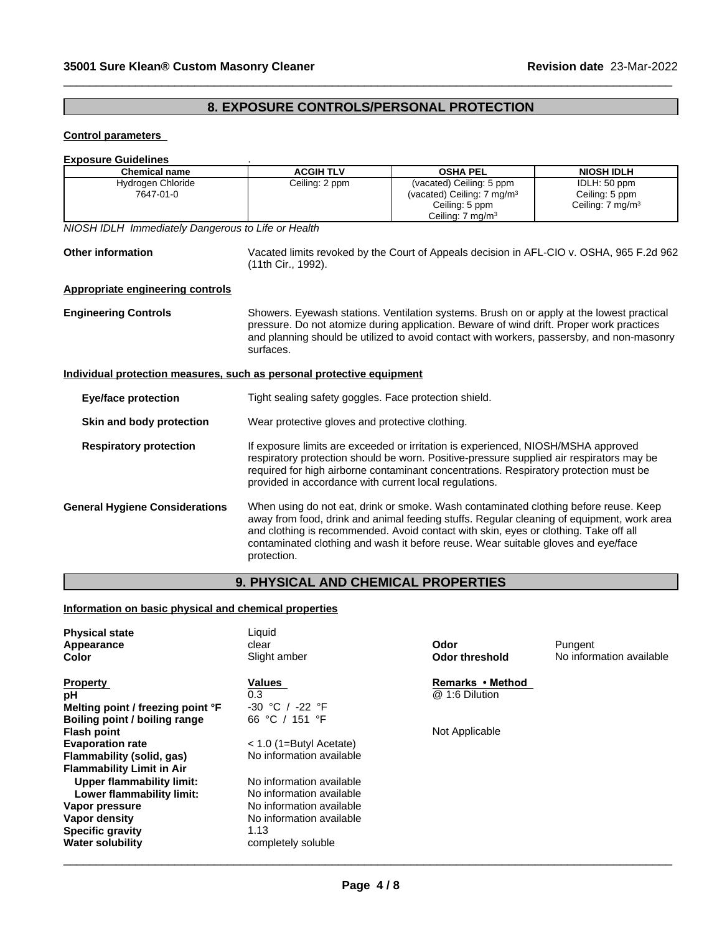## **8. EXPOSURE CONTROLS/PERSONAL PROTECTION**

 $\_$  ,  $\_$  ,  $\_$  ,  $\_$  ,  $\_$  ,  $\_$  ,  $\_$  ,  $\_$  ,  $\_$  ,  $\_$  ,  $\_$  ,  $\_$  ,  $\_$  ,  $\_$  ,  $\_$  ,  $\_$  ,  $\_$  ,  $\_$  ,  $\_$  ,  $\_$  ,  $\_$  ,  $\_$  ,  $\_$  ,  $\_$  ,  $\_$  ,  $\_$  ,  $\_$  ,  $\_$  ,  $\_$  ,  $\_$  ,  $\_$  ,  $\_$  ,  $\_$  ,  $\_$  ,  $\_$  ,  $\_$  ,  $\_$  ,

## **Control parameters**

# **Exposure Guidelines**<br>
Chemical name **and the Chamber of ACGIH TI V**

| <b>Chemical name</b>                                                  | <b>ACGIH TLV</b>                                                                                                                                                                                                                                                                                                                 | <b>OSHA PEL</b>                                                                                                                                                                                                                                                                                                                                                | <b>NIOSH IDLH</b>                                             |  |  |
|-----------------------------------------------------------------------|----------------------------------------------------------------------------------------------------------------------------------------------------------------------------------------------------------------------------------------------------------------------------------------------------------------------------------|----------------------------------------------------------------------------------------------------------------------------------------------------------------------------------------------------------------------------------------------------------------------------------------------------------------------------------------------------------------|---------------------------------------------------------------|--|--|
| Hydrogen Chloride<br>7647-01-0                                        | Ceiling: 2 ppm                                                                                                                                                                                                                                                                                                                   | (vacated) Ceiling: 5 ppm<br>(vacated) Ceiling: 7 mg/m <sup>3</sup><br>Ceiling: 5 ppm<br>Ceiling: 7 mg/m <sup>3</sup>                                                                                                                                                                                                                                           | IDLH: 50 ppm<br>Ceiling: 5 ppm<br>Ceiling: $7 \text{ mg/m}^3$ |  |  |
| NIOSH IDLH Immediately Dangerous to Life or Health                    |                                                                                                                                                                                                                                                                                                                                  |                                                                                                                                                                                                                                                                                                                                                                |                                                               |  |  |
| <b>Other information</b>                                              | Vacated limits revoked by the Court of Appeals decision in AFL-CIO v. OSHA, 965 F.2d 962<br>(11th Cir., 1992).                                                                                                                                                                                                                   |                                                                                                                                                                                                                                                                                                                                                                |                                                               |  |  |
| Appropriate engineering controls                                      |                                                                                                                                                                                                                                                                                                                                  |                                                                                                                                                                                                                                                                                                                                                                |                                                               |  |  |
| <b>Engineering Controls</b>                                           | Showers. Eyewash stations. Ventilation systems. Brush on or apply at the lowest practical<br>pressure. Do not atomize during application. Beware of wind drift. Proper work practices<br>and planning should be utilized to avoid contact with workers, passersby, and non-masonry<br>surfaces.                                  |                                                                                                                                                                                                                                                                                                                                                                |                                                               |  |  |
| Individual protection measures, such as personal protective equipment |                                                                                                                                                                                                                                                                                                                                  |                                                                                                                                                                                                                                                                                                                                                                |                                                               |  |  |
| <b>Eye/face protection</b>                                            | Tight sealing safety goggles. Face protection shield.                                                                                                                                                                                                                                                                            |                                                                                                                                                                                                                                                                                                                                                                |                                                               |  |  |
| Skin and body protection                                              | Wear protective gloves and protective clothing.                                                                                                                                                                                                                                                                                  |                                                                                                                                                                                                                                                                                                                                                                |                                                               |  |  |
| <b>Respiratory protection</b>                                         | If exposure limits are exceeded or irritation is experienced, NIOSH/MSHA approved<br>respiratory protection should be worn. Positive-pressure supplied air respirators may be<br>required for high airborne contaminant concentrations. Respiratory protection must be<br>provided in accordance with current local regulations. |                                                                                                                                                                                                                                                                                                                                                                |                                                               |  |  |
| <b>General Hygiene Considerations</b>                                 | protection.                                                                                                                                                                                                                                                                                                                      | When using do not eat, drink or smoke. Wash contaminated clothing before reuse. Keep<br>away from food, drink and animal feeding stuffs. Regular cleaning of equipment, work area<br>and clothing is recommended. Avoid contact with skin, eyes or clothing. Take off all<br>contaminated clothing and wash it before reuse. Wear suitable gloves and eye/face |                                                               |  |  |
|                                                                       | <b>9. PHYSICAL AND CHEMICAL PROPERTIES</b>                                                                                                                                                                                                                                                                                       |                                                                                                                                                                                                                                                                                                                                                                |                                                               |  |  |

## **Information on basic physical and chemical properties**

| <b>Physical state</b><br>Appearance | Liquid<br>clear           | Odor             | Pungent                  |
|-------------------------------------|---------------------------|------------------|--------------------------|
| Color                               | Slight amber              | Odor threshold   | No information available |
|                                     |                           | Remarks • Method |                          |
| <b>Property</b>                     | Values                    |                  |                          |
| рH                                  | 0.3                       | @ 1:6 Dilution   |                          |
| Melting point / freezing point °F   | $-30$ °C /<br>-22 °F      |                  |                          |
| Boiling point / boiling range       | 66 °C / 151 °F            |                  |                          |
| <b>Flash point</b>                  |                           | Not Applicable   |                          |
| <b>Evaporation rate</b>             | $<$ 1.0 (1=Butyl Acetate) |                  |                          |
| Flammability (solid, gas)           | No information available  |                  |                          |
| <b>Flammability Limit in Air</b>    |                           |                  |                          |
| Upper flammability limit:           | No information available  |                  |                          |
| Lower flammability limit:           | No information available  |                  |                          |
| Vapor pressure                      | No information available  |                  |                          |
| Vapor density                       | No information available  |                  |                          |
| <b>Specific gravity</b>             | 1.13                      |                  |                          |
| <b>Water solubility</b>             | completely soluble        |                  |                          |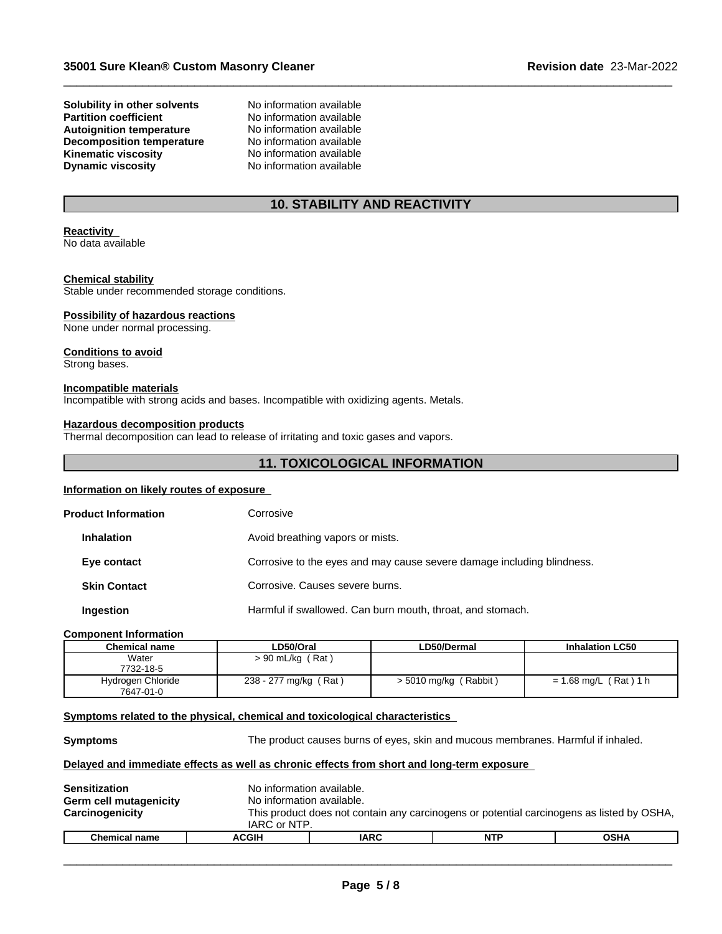**Solubility in other solvents** No information available<br> **Partition coefficient** No information available **Autoignition temperature No information available**<br> **Decomposition temperature No information available Decomposition temperature** No information available<br> **Kinematic viscosity** No information available **Kinematic viscosity**<br> **Communical Dynamic viscosity**<br>
No information available **Dynamic viscosity** 

No information available<br>No information available

## **10. STABILITY AND REACTIVITY**

 $\_$  ,  $\_$  ,  $\_$  ,  $\_$  ,  $\_$  ,  $\_$  ,  $\_$  ,  $\_$  ,  $\_$  ,  $\_$  ,  $\_$  ,  $\_$  ,  $\_$  ,  $\_$  ,  $\_$  ,  $\_$  ,  $\_$  ,  $\_$  ,  $\_$  ,  $\_$  ,  $\_$  ,  $\_$  ,  $\_$  ,  $\_$  ,  $\_$  ,  $\_$  ,  $\_$  ,  $\_$  ,  $\_$  ,  $\_$  ,  $\_$  ,  $\_$  ,  $\_$  ,  $\_$  ,  $\_$  ,  $\_$  ,  $\_$  ,

#### **Reactivity** No data available

## **Chemical stability**

Stable under recommended storage conditions.

### **Possibility of hazardous reactions**

None under normal processing.

## **Conditions to avoid**

Strong bases.

#### **Incompatible materials**

Incompatible with strong acids and bases. Incompatible with oxidizing agents. Metals.

#### **Hazardous decomposition products**

Thermal decomposition can lead to release of irritating and toxic gases and vapors.

## **11. TOXICOLOGICAL INFORMATION**

### **Information on likely routes of exposure**

| <b>Product Information</b> | Corrosive                                                              |
|----------------------------|------------------------------------------------------------------------|
| <b>Inhalation</b>          | Avoid breathing vapors or mists.                                       |
| Eye contact                | Corrosive to the eyes and may cause severe damage including blindness. |
| <b>Skin Contact</b>        | Corrosive. Causes severe burns.                                        |
| Ingestion                  | Harmful if swallowed. Can burn mouth, throat, and stomach.             |

#### **Component Information**

| <b>Chemical name</b> | LD50/Oral             | LD50/Dermal             | <b>Inhalation LC50</b>  |
|----------------------|-----------------------|-------------------------|-------------------------|
| Water                | (Rat)<br>> 90 mL/kg   |                         |                         |
| 7732-18-5            |                       |                         |                         |
| Hydrogen Chloride    | 238 - 277 mg/kg (Rat) | $> 5010$ mg/kg (Rabbit) | $= 1.68$ mg/L (Rat) 1 h |
| 7647-01-0            |                       |                         |                         |

#### **<u>Symptoms related to the physical, chemical and toxicological characteristics</u>**

**Symptoms** The product causes burns of eyes, skin and mucous membranes. Harmful if inhaled.

 $\overline{\phantom{a}}$  ,  $\overline{\phantom{a}}$  ,  $\overline{\phantom{a}}$  ,  $\overline{\phantom{a}}$  ,  $\overline{\phantom{a}}$  ,  $\overline{\phantom{a}}$  ,  $\overline{\phantom{a}}$  ,  $\overline{\phantom{a}}$  ,  $\overline{\phantom{a}}$  ,  $\overline{\phantom{a}}$  ,  $\overline{\phantom{a}}$  ,  $\overline{\phantom{a}}$  ,  $\overline{\phantom{a}}$  ,  $\overline{\phantom{a}}$  ,  $\overline{\phantom{a}}$  ,  $\overline{\phantom{a}}$ 

### **Delayed and immediate effects as well as chronic effects from short and long-term exposure**

| Sensitization<br><b>Germ cell mutagenicity</b><br>Carcinogenicity | No information available.<br>No information available.<br>IARC or NTP. |             | This product does not contain any carcinogens or potential carcinogens as listed by OSHA, |             |  |
|-------------------------------------------------------------------|------------------------------------------------------------------------|-------------|-------------------------------------------------------------------------------------------|-------------|--|
| <b>Chemical name</b>                                              | <b>ACGIH</b>                                                           | <b>IARC</b> | <b>NTP</b>                                                                                | <b>OSHA</b> |  |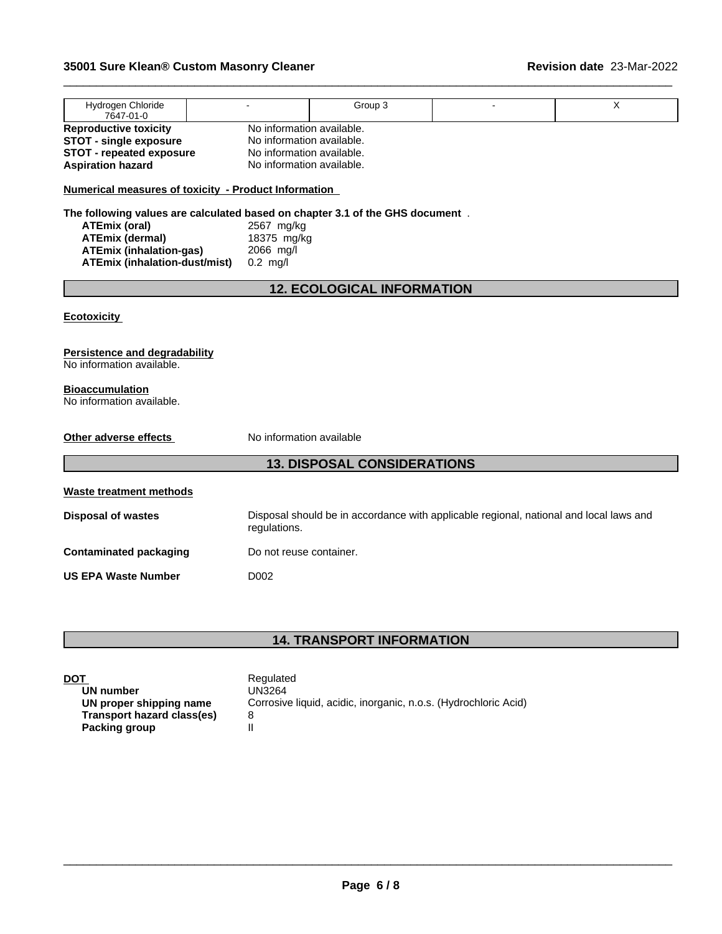| Hydrogen Chloride<br>7647-01-0                                                |                           | Group 3                            |                                                                                        | X |  |  |
|-------------------------------------------------------------------------------|---------------------------|------------------------------------|----------------------------------------------------------------------------------------|---|--|--|
| <b>Reproductive toxicity</b>                                                  | No information available. |                                    |                                                                                        |   |  |  |
| <b>STOT - single exposure</b>                                                 | No information available. |                                    |                                                                                        |   |  |  |
| <b>STOT - repeated exposure</b>                                               | No information available. |                                    |                                                                                        |   |  |  |
| No information available.<br><b>Aspiration hazard</b>                         |                           |                                    |                                                                                        |   |  |  |
| <b>Numerical measures of toxicity - Product Information</b>                   |                           |                                    |                                                                                        |   |  |  |
| The following values are calculated based on chapter 3.1 of the GHS document. |                           |                                    |                                                                                        |   |  |  |
| <b>ATEmix (oral)</b>                                                          | 2567 mg/kg                |                                    |                                                                                        |   |  |  |
| <b>ATEmix (dermal)</b>                                                        | 18375 mg/kg               |                                    |                                                                                        |   |  |  |
| <b>ATEmix (inhalation-gas)</b>                                                | 2066 mg/l                 |                                    |                                                                                        |   |  |  |
| <b>ATEmix (inhalation-dust/mist)</b>                                          | $0.2$ mg/l                |                                    |                                                                                        |   |  |  |
|                                                                               |                           |                                    |                                                                                        |   |  |  |
|                                                                               |                           | <b>12. ECOLOGICAL INFORMATION</b>  |                                                                                        |   |  |  |
|                                                                               |                           |                                    |                                                                                        |   |  |  |
| <b>Ecotoxicity</b>                                                            |                           |                                    |                                                                                        |   |  |  |
| <b>Persistence and degradability</b>                                          |                           |                                    |                                                                                        |   |  |  |
| No information available.                                                     |                           |                                    |                                                                                        |   |  |  |
|                                                                               |                           |                                    |                                                                                        |   |  |  |
| <b>Bioaccumulation</b>                                                        |                           |                                    |                                                                                        |   |  |  |
| No information available.                                                     |                           |                                    |                                                                                        |   |  |  |
|                                                                               |                           |                                    |                                                                                        |   |  |  |
| Other adverse effects                                                         | No information available  |                                    |                                                                                        |   |  |  |
|                                                                               |                           |                                    |                                                                                        |   |  |  |
|                                                                               |                           | <b>13. DISPOSAL CONSIDERATIONS</b> |                                                                                        |   |  |  |
|                                                                               |                           |                                    |                                                                                        |   |  |  |
| <b>Waste treatment methods</b>                                                |                           |                                    |                                                                                        |   |  |  |
| <b>Disposal of wastes</b>                                                     | regulations.              |                                    | Disposal should be in accordance with applicable regional, national and local laws and |   |  |  |
| <b>Contaminated packaging</b>                                                 | Do not reuse container.   |                                    |                                                                                        |   |  |  |
| <b>US EPA Waste Number</b>                                                    | D <sub>0</sub> 02         |                                    |                                                                                        |   |  |  |
|                                                                               |                           |                                    |                                                                                        |   |  |  |

 $\_$  ,  $\_$  ,  $\_$  ,  $\_$  ,  $\_$  ,  $\_$  ,  $\_$  ,  $\_$  ,  $\_$  ,  $\_$  ,  $\_$  ,  $\_$  ,  $\_$  ,  $\_$  ,  $\_$  ,  $\_$  ,  $\_$  ,  $\_$  ,  $\_$  ,  $\_$  ,  $\_$  ,  $\_$  ,  $\_$  ,  $\_$  ,  $\_$  ,  $\_$  ,  $\_$  ,  $\_$  ,  $\_$  ,  $\_$  ,  $\_$  ,  $\_$  ,  $\_$  ,  $\_$  ,  $\_$  ,  $\_$  ,  $\_$  ,

## **14. TRANSPORT INFORMATION**

| <b>DOT</b>                        | Regulated                                                       |
|-----------------------------------|-----------------------------------------------------------------|
| UN number                         | UN3264                                                          |
| UN proper shipping name           | Corrosive liquid, acidic, inorganic, n.o.s. (Hydrochloric Acid) |
| <b>Transport hazard class(es)</b> | 8                                                               |
| Packing group                     |                                                                 |
|                                   |                                                                 |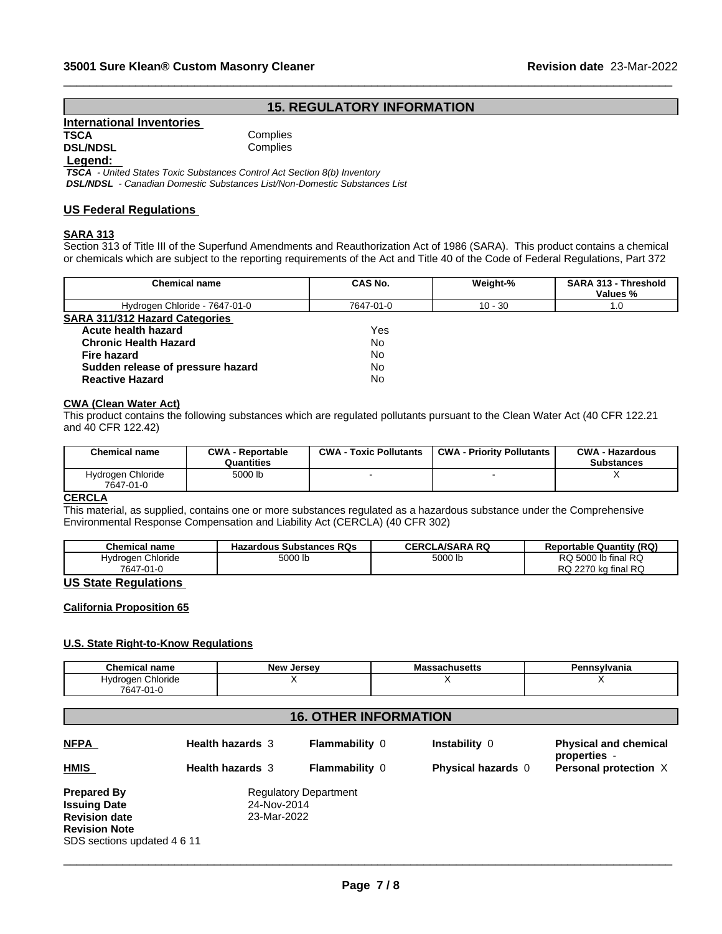## **15. REGULATORY INFORMATION**

 $\_$  ,  $\_$  ,  $\_$  ,  $\_$  ,  $\_$  ,  $\_$  ,  $\_$  ,  $\_$  ,  $\_$  ,  $\_$  ,  $\_$  ,  $\_$  ,  $\_$  ,  $\_$  ,  $\_$  ,  $\_$  ,  $\_$  ,  $\_$  ,  $\_$  ,  $\_$  ,  $\_$  ,  $\_$  ,  $\_$  ,  $\_$  ,  $\_$  ,  $\_$  ,  $\_$  ,  $\_$  ,  $\_$  ,  $\_$  ,  $\_$  ,  $\_$  ,  $\_$  ,  $\_$  ,  $\_$  ,  $\_$  ,  $\_$  ,

| International Inventories |          |
|---------------------------|----------|
| <b>TSCA</b>               | Complies |
| <b>DSL/NDSL</b>           | Complies |

**Complies** 

## **Legend:**

 *TSCA - United States Toxic Substances Control Act Section 8(b) Inventory DSL/NDSL - Canadian Domestic Substances List/Non-Domestic Substances List*

# **US Federal Regulations**

## **SARA 313**

Section 313 of Title III of the Superfund Amendments and Reauthorization Act of 1986 (SARA). This product contains a chemical or chemicals which are subject to the reporting requirements of the Act and Title 40 of the Code of Federal Regulations, Part 372

| <b>Chemical name</b>                  | CAS No.   | Weight-%  | SARA 313 - Threshold<br>Values % |
|---------------------------------------|-----------|-----------|----------------------------------|
| Hydrogen Chloride - 7647-01-0         | 7647-01-0 | $10 - 30$ | 1.0                              |
| <b>SARA 311/312 Hazard Categories</b> |           |           |                                  |
| Acute health hazard                   | Yes       |           |                                  |
| <b>Chronic Health Hazard</b>          | <b>No</b> |           |                                  |
| <b>Fire hazard</b>                    | No        |           |                                  |
| Sudden release of pressure hazard     | No        |           |                                  |
| <b>Reactive Hazard</b>                | <b>No</b> |           |                                  |

#### **CWA** (Clean Water Act)

This product contains the following substances which are regulated pollutants pursuant to the Clean Water Act (40 CFR 122.21 and 40 CFR 122.42)

| <b>Chemical name</b>           | <b>CWA - Reportable</b><br>Quantities | <b>CWA - Toxic Pollutants</b> | <b>CWA - Priority Pollutants</b> | <b>CWA - Hazardous</b><br><b>Substances</b> |
|--------------------------------|---------------------------------------|-------------------------------|----------------------------------|---------------------------------------------|
| Hydrogen Chloride<br>7647-01-0 | 5000 lb                               |                               |                                  |                                             |

## **CERCLA**

This material, as supplied, contains one or more substances regulated as a hazardous substance under the Comprehensive Environmental Response Compensation and Liability Act (CERCLA) (40 CFR 302)

| <b>Chemical name</b> | <b>Hazardous Substances RQs</b> | <b>CERCLA/SARA RQ</b> | <b>Reportable Quantity (RQ)</b> |
|----------------------|---------------------------------|-----------------------|---------------------------------|
| Hydrogen Chloride    | 5000 lb                         | 5000<br>5000 ID       | RQ 5000 lb final RQ             |
| 7647-01-0<br>، ا−ل   |                                 |                       | ka final RQ<br>RQ 2270          |

## **US State Regulations**

## **California Proposition 65**

## **U.S. State Right-to-Know Regulations**

| <b>Chemical name</b>             | <b>N</b> OW<br><b>Jersev</b><br>. | шо<br>อดบแนอចแอ | <b>nsylvania</b><br>ъ.<br>ыш |
|----------------------------------|-----------------------------------|-----------------|------------------------------|
| Chloride<br><b>Hydrogen</b><br>. |                                   |                 |                              |
| 7647-01-0                        |                                   |                 |                              |

## **16. OTHER INFORMATION**

| <u>NFPA</u>                 | <b>Health hazards 3</b> | <b>Flammability 0</b>        | Instability 0             | <b>Physical and chemical</b><br>properties - |
|-----------------------------|-------------------------|------------------------------|---------------------------|----------------------------------------------|
| <b>HMIS</b>                 | <b>Health hazards 3</b> | <b>Flammability 0</b>        | <b>Physical hazards</b> 0 | <b>Personal protection X</b>                 |
| <b>Prepared By</b>          |                         | <b>Regulatory Department</b> |                           |                                              |
| <b>Issuing Date</b>         | 24-Nov-2014             |                              |                           |                                              |
| <b>Revision date</b>        | 23-Mar-2022             |                              |                           |                                              |
| <b>Revision Note</b>        |                         |                              |                           |                                              |
| SDS sections updated 4 6 11 |                         |                              |                           |                                              |